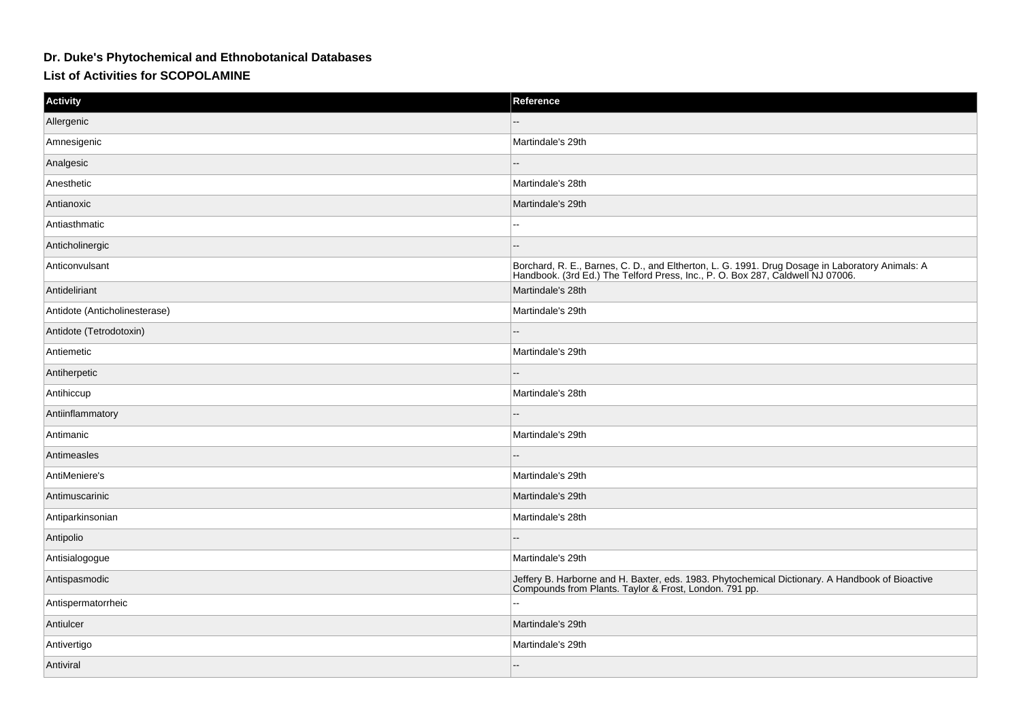## **Dr. Duke's Phytochemical and Ethnobotanical Databases**

## **List of Activities for SCOPOLAMINE**

| <b>Activity</b>               | Reference                                                                                                                                                                      |
|-------------------------------|--------------------------------------------------------------------------------------------------------------------------------------------------------------------------------|
| Allergenic                    |                                                                                                                                                                                |
| Amnesigenic                   | Martindale's 29th                                                                                                                                                              |
| Analgesic                     |                                                                                                                                                                                |
| Anesthetic                    | Martindale's 28th                                                                                                                                                              |
| Antianoxic                    | Martindale's 29th                                                                                                                                                              |
| Antiasthmatic                 |                                                                                                                                                                                |
| Anticholinergic               |                                                                                                                                                                                |
| Anticonvulsant                | Borchard, R. E., Barnes, C. D., and Eltherton, L. G. 1991. Drug Dosage in Laboratory Animals: A Handbook. (3rd Ed.) The Telford Press, Inc., P. O. Box 287, Caldwell NJ 07006. |
| Antideliriant                 | Martindale's 28th                                                                                                                                                              |
| Antidote (Anticholinesterase) | Martindale's 29th                                                                                                                                                              |
| Antidote (Tetrodotoxin)       | --                                                                                                                                                                             |
| Antiemetic                    | Martindale's 29th                                                                                                                                                              |
| Antiherpetic                  |                                                                                                                                                                                |
| Antihiccup                    | Martindale's 28th                                                                                                                                                              |
| Antiinflammatory              |                                                                                                                                                                                |
| Antimanic                     | Martindale's 29th                                                                                                                                                              |
| Antimeasles                   | --                                                                                                                                                                             |
| AntiMeniere's                 | Martindale's 29th                                                                                                                                                              |
| Antimuscarinic                | Martindale's 29th                                                                                                                                                              |
| Antiparkinsonian              | Martindale's 28th                                                                                                                                                              |
| Antipolio                     |                                                                                                                                                                                |
| Antisialogogue                | Martindale's 29th                                                                                                                                                              |
| Antispasmodic                 | Jeffery B. Harborne and H. Baxter, eds. 1983. Phytochemical Dictionary. A Handbook of Bioactive Compounds from Plants. Taylor & Frost, London. 791 pp.                         |
| Antispermatorrheic            |                                                                                                                                                                                |
| Antiulcer                     | Martindale's 29th                                                                                                                                                              |
| Antivertigo                   | Martindale's 29th                                                                                                                                                              |
| Antiviral                     |                                                                                                                                                                                |